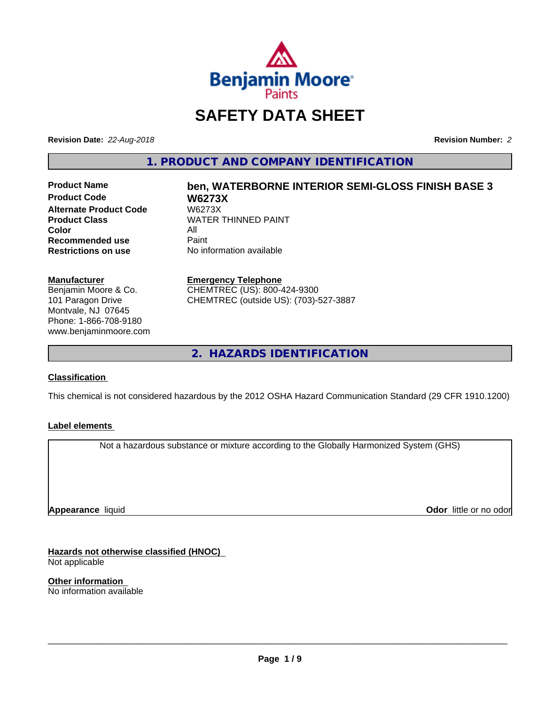

# **SAFETY DATA SHEET**

**Revision Date:** *22-Aug-2018* **Revision Number:** *2*

**1. PRODUCT AND COMPANY IDENTIFICATION**

**Product Code W6273X Alternate Product Code**<br>Product Class **Color** All<br> **Recommended use** Paint **Recommended use**<br>Restrictions on use

# **Product Name ben, WATERBORNE INTERIOR SEMI-GLOSS FINISH BASE 3 WATER THINNED PAINT**

**No information available** 

#### **Manufacturer**

Benjamin Moore & Co. 101 Paragon Drive Montvale, NJ 07645 Phone: 1-866-708-9180 www.benjaminmoore.com

#### **Emergency Telephone**

CHEMTREC (US): 800-424-9300 CHEMTREC (outside US): (703)-527-3887

**2. HAZARDS IDENTIFICATION**

#### **Classification**

This chemical is not considered hazardous by the 2012 OSHA Hazard Communication Standard (29 CFR 1910.1200)

#### **Label elements**

Not a hazardous substance or mixture according to the Globally Harmonized System (GHS)

**Appearance** liquid

**Odor** little or no odor

**Hazards not otherwise classified (HNOC)** Not applicable

**Other information** No information available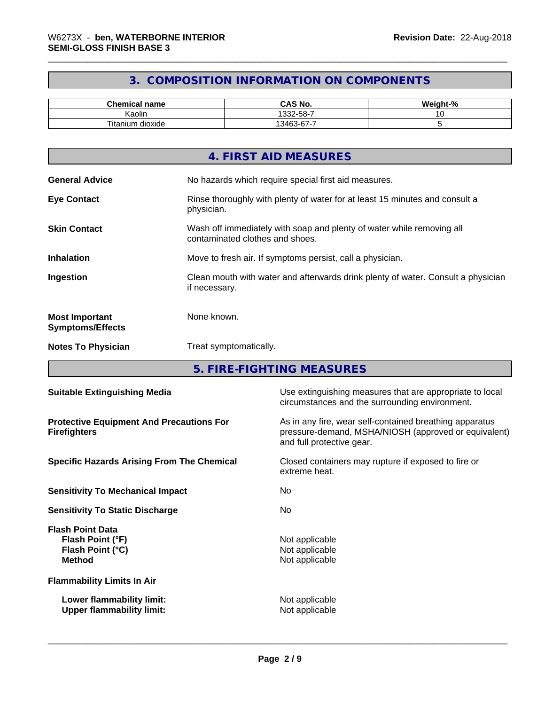# **3. COMPOSITION INFORMATION ON COMPONENTS**

| Chemical<br>name           | CAS No.                   | <br>$\sim$<br>''-veight."<br>-70 |
|----------------------------|---------------------------|----------------------------------|
| . .<br>. .<br>Kaolin       | $.332 - 58 - 7$           | . .                              |
| --<br>dioxide<br>l itanium | -<br>$\sim$<br>13463<br>ີ |                                  |

| 4. FIRST AID MEASURES                                                                                                           |
|---------------------------------------------------------------------------------------------------------------------------------|
| <b>General Advice</b><br>No hazards which require special first aid measures.                                                   |
| <b>Eye Contact</b><br>Rinse thoroughly with plenty of water for at least 15 minutes and consult a<br>physician.                 |
| Wash off immediately with soap and plenty of water while removing all<br><b>Skin Contact</b><br>contaminated clothes and shoes. |
| Move to fresh air. If symptoms persist, call a physician.<br><b>Inhalation</b>                                                  |
| Ingestion<br>Clean mouth with water and afterwards drink plenty of water. Consult a physician<br>if necessary.                  |
| None known.<br><b>Most Important</b><br><b>Symptoms/Effects</b>                                                                 |
| <b>Notes To Physician</b><br>Treat symptomatically.                                                                             |

**5. FIRE-FIGHTING MEASURES**

| <b>Suitable Extinguishing Media</b>                                              | Use extinguishing measures that are appropriate to local<br>circumstances and the surrounding environment.                                   |
|----------------------------------------------------------------------------------|----------------------------------------------------------------------------------------------------------------------------------------------|
| <b>Protective Equipment And Precautions For</b><br><b>Firefighters</b>           | As in any fire, wear self-contained breathing apparatus<br>pressure-demand, MSHA/NIOSH (approved or equivalent)<br>and full protective gear. |
| <b>Specific Hazards Arising From The Chemical</b>                                | Closed containers may rupture if exposed to fire or<br>extreme heat.                                                                         |
| <b>Sensitivity To Mechanical Impact</b>                                          | No.                                                                                                                                          |
| <b>Sensitivity To Static Discharge</b>                                           | No.                                                                                                                                          |
| <b>Flash Point Data</b><br>Flash Point (°F)<br>Flash Point (°C)<br><b>Method</b> | Not applicable<br>Not applicable<br>Not applicable                                                                                           |
| <b>Flammability Limits In Air</b>                                                |                                                                                                                                              |
| Lower flammability limit:<br><b>Upper flammability limit:</b>                    | Not applicable<br>Not applicable                                                                                                             |
|                                                                                  |                                                                                                                                              |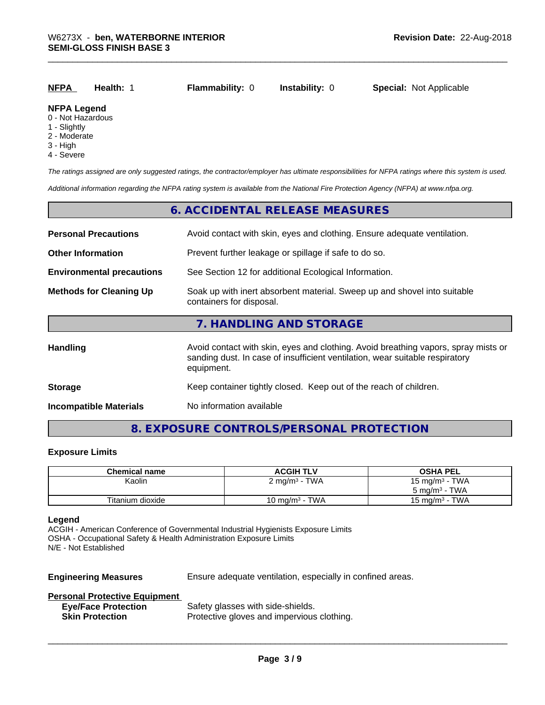|--|

# **NFPA Legend**

- 0 Not Hazardous
- 1 Slightly
- 2 Moderate
- 3 High
- 4 Severe

*The ratings assigned are only suggested ratings, the contractor/employer has ultimate responsibilities for NFPA ratings where this system is used.*

*Additional information regarding the NFPA rating system is available from the National Fire Protection Agency (NFPA) at www.nfpa.org.*

#### **6. ACCIDENTAL RELEASE MEASURES**

| <b>Personal Precautions</b>      | Avoid contact with skin, eyes and clothing. Ensure adequate ventilation.                                                                                                         |
|----------------------------------|----------------------------------------------------------------------------------------------------------------------------------------------------------------------------------|
| <b>Other Information</b>         | Prevent further leakage or spillage if safe to do so.                                                                                                                            |
| <b>Environmental precautions</b> | See Section 12 for additional Ecological Information.                                                                                                                            |
| <b>Methods for Cleaning Up</b>   | Soak up with inert absorbent material. Sweep up and shovel into suitable<br>containers for disposal.                                                                             |
|                                  | 7. HANDLING AND STORAGE                                                                                                                                                          |
| Handling                         | Avoid contact with skin, eyes and clothing. Avoid breathing vapors, spray mists or<br>sanding dust. In case of insufficient ventilation, wear suitable respiratory<br>equipment. |
| <b>Storage</b>                   | Keep container tightly closed. Keep out of the reach of children.                                                                                                                |
| <b>Incompatible Materials</b>    | No information available                                                                                                                                                         |

## **8. EXPOSURE CONTROLS/PERSONAL PROTECTION**

#### **Exposure Limits**

| <b>Chemical name</b> | <b>ACGIH TLV</b>                | <b>OSHA PEL</b>            |
|----------------------|---------------------------------|----------------------------|
| Kaolin               | $2 \text{ mg/m}^3$ - TWA        | 15 mg/m $3$ - TWA          |
|                      |                                 | $5 \text{ ma/m}^3$ - TWA   |
| Titanium dioxide     | · TWA<br>10 mg/m <sup>3</sup> - | - TWA<br>15 mg/m $3 \cdot$ |

#### **Legend**

ACGIH - American Conference of Governmental Industrial Hygienists Exposure Limits OSHA - Occupational Safety & Health Administration Exposure Limits N/E - Not Established

**Engineering Measures** Ensure adequate ventilation, especially in confined areas.

 $\overline{\phantom{a}}$  ,  $\overline{\phantom{a}}$  ,  $\overline{\phantom{a}}$  ,  $\overline{\phantom{a}}$  ,  $\overline{\phantom{a}}$  ,  $\overline{\phantom{a}}$  ,  $\overline{\phantom{a}}$  ,  $\overline{\phantom{a}}$  ,  $\overline{\phantom{a}}$  ,  $\overline{\phantom{a}}$  ,  $\overline{\phantom{a}}$  ,  $\overline{\phantom{a}}$  ,  $\overline{\phantom{a}}$  ,  $\overline{\phantom{a}}$  ,  $\overline{\phantom{a}}$  ,  $\overline{\phantom{a}}$ 

#### **Personal Protective Equipment**

| <b>Eye/Face Protection</b> | Safety glasses with side-shields.          |
|----------------------------|--------------------------------------------|
| <b>Skin Protection</b>     | Protective gloves and impervious clothing. |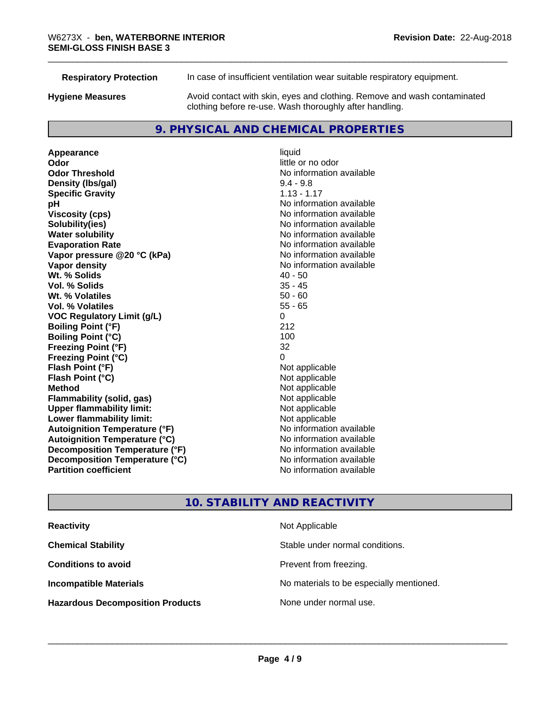| <b>Respiratory Protection</b> | In case of insufficient ventilation wear suitable respiratory equipment.                                                            |  |
|-------------------------------|-------------------------------------------------------------------------------------------------------------------------------------|--|
| <b>Hygiene Measures</b>       | Avoid contact with skin, eyes and clothing. Remove and wash contaminated<br>clothing before re-use. Wash thoroughly after handling. |  |
|                               |                                                                                                                                     |  |

### **9. PHYSICAL AND CHEMICAL PROPERTIES**

**Appearance** liquid **odor** liquid **odor** little c **Odor Odor** little or no odor<br> **Odor Threshold Containery of the Containery of the Containery of the Containery of the Containery of the Containery of the Containery of the Containery of the Containery of the Container Density (lbs/gal)** 9.4 - 9.8 **Specific Gravity** 1.13 - 1.17 **pH** No information available **Viscosity (cps)** No information available **Solubility(ies)**<br> **Solubility**<br> **Water solubility**<br> **Water solubility Evaporation Rate No information available No information available Vapor pressure @20 °C (kPa)** No information available **Vapor density No information available No** information available **Wt. % Solids** 40 - 50 **Vol. % Solids** 35 - 45 **Wt. % Volatiles Vol. % Volatiles** 55 - 65 **VOC Regulatory Limit (g/L)** 0 **Boiling Point (°F)** 212 **Boiling Point (°C)** 100 **Freezing Point (°F)** 32 **Freezing Point (°C)**<br> **Flash Point (°F)**<br> **Flash Point (°F)**<br> **Point (°F) Flash Point (°F)**<br> **Flash Point (°C)**<br> **Flash Point (°C)**<br> **C Flash Point (°C) Method**<br> **Flammability (solid, gas)**<br> **Example 2018** Not applicable **Flammability (solid, gas)**<br> **Consumption Upper flammability limit:**<br>
Not applicable **Upper flammability limit: Lower flammability limit:**<br> **Autoignition Temperature (°F)** Not applicable havailable available **Autoignition Temperature (°F) Autoignition Temperature (°C)** No information available **Decomposition Temperature (°F)** No information available **Decomposition Temperature (°C)** No information available **Partition coefficient Contract Community No information available** 

**No information available No information available** 

# **10. STABILITY AND REACTIVITY**

| <b>Reactivity</b>                       | Not Applicable                           |
|-----------------------------------------|------------------------------------------|
| <b>Chemical Stability</b>               | Stable under normal conditions.          |
| <b>Conditions to avoid</b>              | Prevent from freezing.                   |
| <b>Incompatible Materials</b>           | No materials to be especially mentioned. |
| <b>Hazardous Decomposition Products</b> | None under normal use.                   |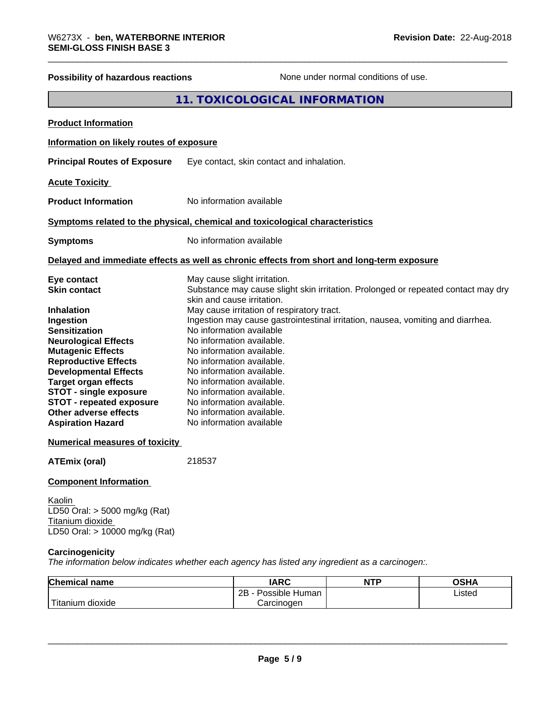| Possibility of hazardous reactions                                                                                                                                                                                                                                                                                  | None under normal conditions of use.                                                                                                                                                                                                                                                                                                                                            |  |
|---------------------------------------------------------------------------------------------------------------------------------------------------------------------------------------------------------------------------------------------------------------------------------------------------------------------|---------------------------------------------------------------------------------------------------------------------------------------------------------------------------------------------------------------------------------------------------------------------------------------------------------------------------------------------------------------------------------|--|
|                                                                                                                                                                                                                                                                                                                     | 11. TOXICOLOGICAL INFORMATION                                                                                                                                                                                                                                                                                                                                                   |  |
| <b>Product Information</b>                                                                                                                                                                                                                                                                                          |                                                                                                                                                                                                                                                                                                                                                                                 |  |
| Information on likely routes of exposure                                                                                                                                                                                                                                                                            |                                                                                                                                                                                                                                                                                                                                                                                 |  |
| <b>Principal Routes of Exposure</b>                                                                                                                                                                                                                                                                                 | Eye contact, skin contact and inhalation.                                                                                                                                                                                                                                                                                                                                       |  |
| <b>Acute Toxicity</b>                                                                                                                                                                                                                                                                                               |                                                                                                                                                                                                                                                                                                                                                                                 |  |
| <b>Product Information</b>                                                                                                                                                                                                                                                                                          | No information available                                                                                                                                                                                                                                                                                                                                                        |  |
|                                                                                                                                                                                                                                                                                                                     | Symptoms related to the physical, chemical and toxicological characteristics                                                                                                                                                                                                                                                                                                    |  |
| <b>Symptoms</b>                                                                                                                                                                                                                                                                                                     | No information available                                                                                                                                                                                                                                                                                                                                                        |  |
|                                                                                                                                                                                                                                                                                                                     | Delayed and immediate effects as well as chronic effects from short and long-term exposure                                                                                                                                                                                                                                                                                      |  |
| Eye contact<br><b>Skin contact</b><br><b>Inhalation</b>                                                                                                                                                                                                                                                             | May cause slight irritation.<br>Substance may cause slight skin irritation. Prolonged or repeated contact may dry<br>skin and cause irritation.<br>May cause irritation of respiratory tract.                                                                                                                                                                                   |  |
| Ingestion<br><b>Sensitization</b><br><b>Neurological Effects</b><br><b>Mutagenic Effects</b><br><b>Reproductive Effects</b><br><b>Developmental Effects</b><br><b>Target organ effects</b><br><b>STOT - single exposure</b><br><b>STOT - repeated exposure</b><br>Other adverse effects<br><b>Aspiration Hazard</b> | Ingestion may cause gastrointestinal irritation, nausea, vomiting and diarrhea.<br>No information available<br>No information available.<br>No information available.<br>No information available.<br>No information available.<br>No information available.<br>No information available.<br>No information available.<br>No information available.<br>No information available |  |
| <b>Numerical measures of toxicity</b>                                                                                                                                                                                                                                                                               |                                                                                                                                                                                                                                                                                                                                                                                 |  |
| <b>ATEmix (oral)</b>                                                                                                                                                                                                                                                                                                | 218537                                                                                                                                                                                                                                                                                                                                                                          |  |
| <b>Component Information</b>                                                                                                                                                                                                                                                                                        |                                                                                                                                                                                                                                                                                                                                                                                 |  |
| Kaolin<br>LD50 Oral: $>$ 5000 mg/kg (Rat)<br>Titanium dioxide<br>LD50 Oral: > 10000 mg/kg (Rat)                                                                                                                                                                                                                     |                                                                                                                                                                                                                                                                                                                                                                                 |  |
| Carcinogenicity                                                                                                                                                                                                                                                                                                     | The information below indicates whether each agency has listed any ingredient as a carcinogen:.                                                                                                                                                                                                                                                                                 |  |
| Chamiasl nama                                                                                                                                                                                                                                                                                                       | IADC<br>$\sim$ CUA<br><b>NITD</b>                                                                                                                                                                                                                                                                                                                                               |  |

| <b>Chemical name</b>      | <b>IARC</b>                    | <b>NTP</b> | <b>OSHA</b> |  |
|---------------------------|--------------------------------|------------|-------------|--|
|                           | . .<br>2B<br>Human<br>Possible |            | Listed      |  |
| ' Titanium 、<br>n dioxide | Carcinogen                     |            |             |  |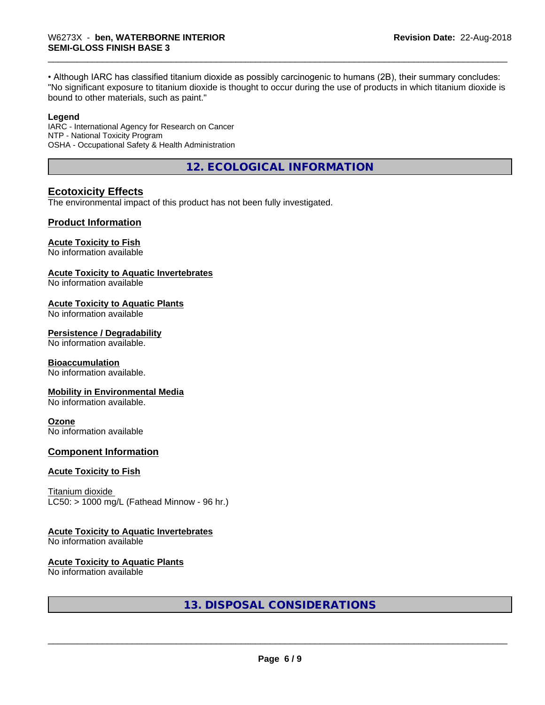• Although IARC has classified titanium dioxide as possibly carcinogenic to humans (2B), their summary concludes: "No significant exposure to titanium dioxide is thought to occur during the use of products in which titanium dioxide is bound to other materials, such as paint."

#### **Legend**

IARC - International Agency for Research on Cancer NTP - National Toxicity Program OSHA - Occupational Safety & Health Administration

**12. ECOLOGICAL INFORMATION**

#### **Ecotoxicity Effects**

The environmental impact of this product has not been fully investigated.

#### **Product Information**

#### **Acute Toxicity to Fish**

No information available

#### **Acute Toxicity to Aquatic Invertebrates**

No information available

#### **Acute Toxicity to Aquatic Plants**

No information available

#### **Persistence / Degradability**

No information available.

#### **Bioaccumulation**

No information available.

#### **Mobility in Environmental Media**

No information available.

#### **Ozone**

No information available

#### **Component Information**

#### **Acute Toxicity to Fish**

Titanium dioxide  $LC50:$  > 1000 mg/L (Fathead Minnow - 96 hr.)

#### **Acute Toxicity to Aquatic Invertebrates**

No information available

#### **Acute Toxicity to Aquatic Plants**

No information available

**13. DISPOSAL CONSIDERATIONS**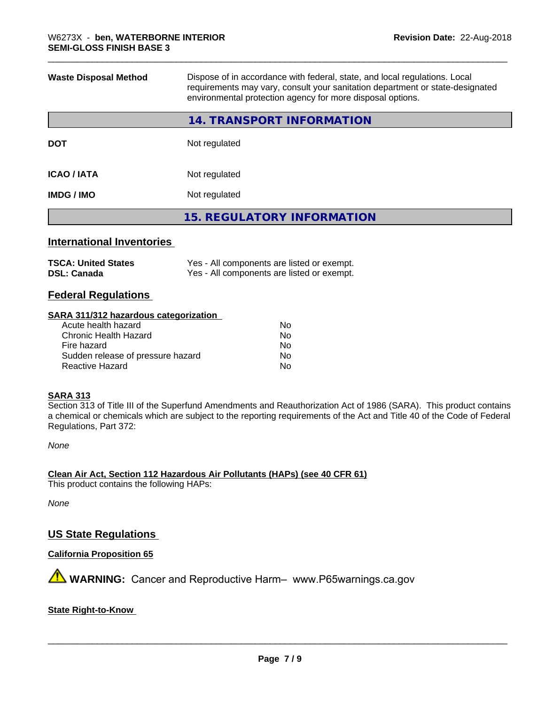| <b>Waste Disposal Method</b><br>Dispose of in accordance with federal, state, and local regulations. Local<br>requirements may vary, consult your sanitation department or state-designated<br>environmental protection agency for more disposal options. |                                   |
|-----------------------------------------------------------------------------------------------------------------------------------------------------------------------------------------------------------------------------------------------------------|-----------------------------------|
|                                                                                                                                                                                                                                                           | 14. TRANSPORT INFORMATION         |
| <b>DOT</b>                                                                                                                                                                                                                                                | Not regulated                     |
| <b>ICAO / IATA</b>                                                                                                                                                                                                                                        | Not regulated                     |
| <b>IMDG / IMO</b>                                                                                                                                                                                                                                         | Not regulated                     |
|                                                                                                                                                                                                                                                           | <b>15. REGULATORY INFORMATION</b> |
|                                                                                                                                                                                                                                                           |                                   |

# **International Inventories**

| <b>TSCA: United States</b> | Yes - All components are listed or exempt. |
|----------------------------|--------------------------------------------|
| <b>DSL: Canada</b>         | Yes - All components are listed or exempt. |

# **Federal Regulations**

#### **SARA 311/312 hazardous categorization**

| Acute health hazard               | No. |
|-----------------------------------|-----|
| Chronic Health Hazard             | Nο  |
| Fire hazard                       | No. |
| Sudden release of pressure hazard | Nο  |
| Reactive Hazard                   | N٥  |

#### **SARA 313**

Section 313 of Title III of the Superfund Amendments and Reauthorization Act of 1986 (SARA). This product contains a chemical or chemicals which are subject to the reporting requirements of the Act and Title 40 of the Code of Federal Regulations, Part 372:

*None*

**Clean Air Act,Section 112 Hazardous Air Pollutants (HAPs) (see 40 CFR 61)**

This product contains the following HAPs:

*None*

# **US State Regulations**

**California Proposition 65**

**AVIMARNING:** Cancer and Reproductive Harm– www.P65warnings.ca.gov

#### **State Right-to-Know**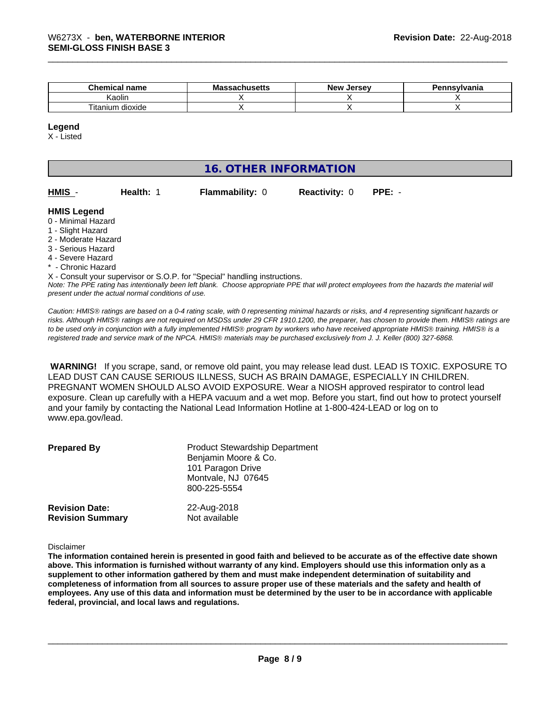| Chemical<br>name                 | . .<br><b>Massachusetts</b> | <b>New</b><br>. Jersev | 'ennsvlvania |
|----------------------------------|-----------------------------|------------------------|--------------|
| Kaolir                           |                             |                        |              |
| --<br>--<br>dioxide<br>l itanium |                             |                        |              |

#### **Legend**

X - Listed

# **16. OTHER INFORMATION**

| <b>HMIS</b> |  |
|-------------|--|
|-------------|--|

**Health: 1 Flammability: 0 Reactivity: 0 PPE: -**

#### **HMIS Legend**

- 0 Minimal Hazard
- 1 Slight Hazard
- 2 Moderate Hazard
- 3 Serious Hazard
- 4 Severe Hazard
- \* Chronic Hazard

X - Consult your supervisor or S.O.P. for "Special" handling instructions.

*Note: The PPE rating has intentionally been left blank. Choose appropriate PPE that will protect employees from the hazards the material will present under the actual normal conditions of use.*

*Caution: HMISÒ ratings are based on a 0-4 rating scale, with 0 representing minimal hazards or risks, and 4 representing significant hazards or risks. Although HMISÒ ratings are not required on MSDSs under 29 CFR 1910.1200, the preparer, has chosen to provide them. HMISÒ ratings are to be used only in conjunction with a fully implemented HMISÒ program by workers who have received appropriate HMISÒ training. HMISÒ is a registered trade and service mark of the NPCA. HMISÒ materials may be purchased exclusively from J. J. Keller (800) 327-6868.*

 **WARNING!** If you scrape, sand, or remove old paint, you may release lead dust. LEAD IS TOXIC. EXPOSURE TO LEAD DUST CAN CAUSE SERIOUS ILLNESS, SUCH AS BRAIN DAMAGE, ESPECIALLY IN CHILDREN. PREGNANT WOMEN SHOULD ALSO AVOID EXPOSURE.Wear a NIOSH approved respirator to control lead exposure. Clean up carefully with a HEPA vacuum and a wet mop. Before you start, find out how to protect yourself and your family by contacting the National Lead Information Hotline at 1-800-424-LEAD or log on to www.epa.gov/lead.

| <b>Prepared By</b>      | <b>Product Stewardship Department</b><br>Benjamin Moore & Co.<br>101 Paragon Drive<br>Montvale, NJ 07645<br>800-225-5554 |
|-------------------------|--------------------------------------------------------------------------------------------------------------------------|
| <b>Revision Date:</b>   | 22-Aug-2018                                                                                                              |
| <b>Revision Summary</b> | Not available                                                                                                            |

Disclaimer

The information contained herein is presented in good faith and believed to be accurate as of the effective date shown above. This information is furnished without warranty of any kind. Employers should use this information only as a **supplement to other information gathered by them and must make independent determination of suitability and** completeness of information from all sources to assure proper use of these materials and the safety and health of employees. Any use of this data and information must be determined by the user to be in accordance with applicable **federal, provincial, and local laws and regulations.**